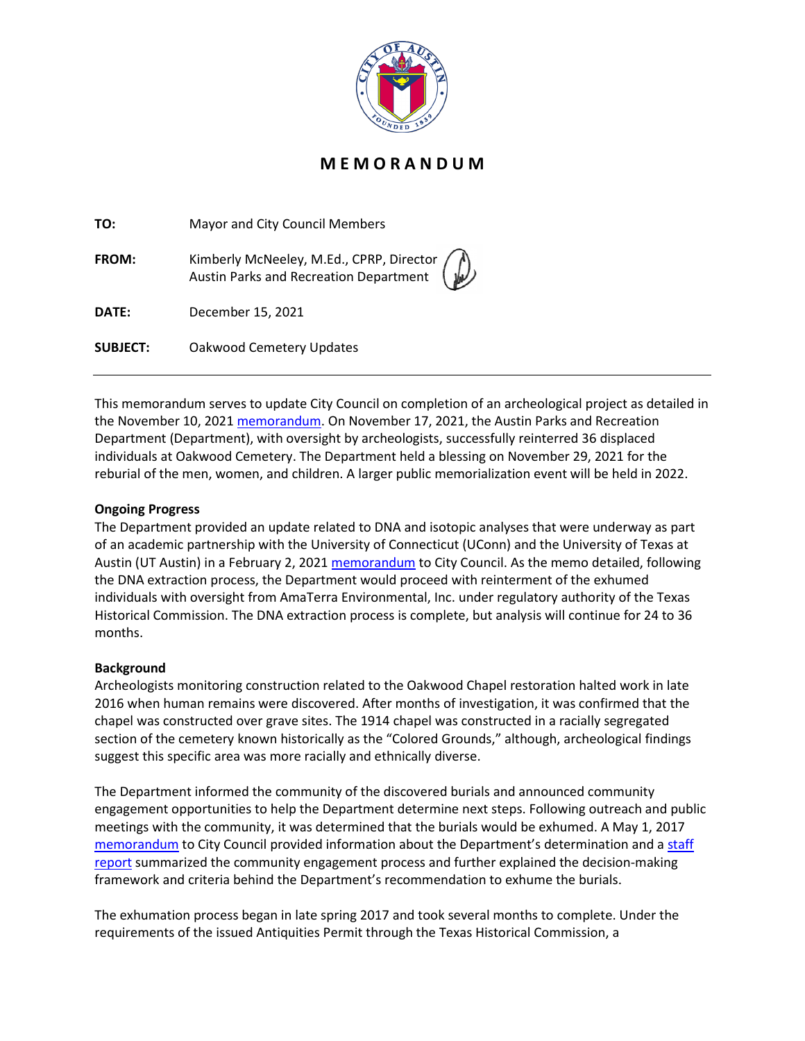

## **M E M O R A N D U M**

| TO:             | Mayor and City Council Members                                                                                                       |
|-----------------|--------------------------------------------------------------------------------------------------------------------------------------|
| <b>FROM:</b>    | Kimberly McNeeley, M.Ed., CPRP, Director $\left(\begin{matrix} 1 \\ 1 \end{matrix}\right)$<br>Austin Parks and Recreation Department |
| DATE:           | December 15, 2021                                                                                                                    |
| <b>SUBJECT:</b> | Oakwood Cemetery Updates                                                                                                             |

This memorandum serves to update City Council on completion of an archeological project as detailed in the November 10, 2021 [memorandum.](http://www.austintexas.gov/edims/pio/document.cfm?id=371425) On November 17, 2021, the Austin Parks and Recreation Department (Department), with oversight by archeologists, successfully reinterred 36 displaced individuals at Oakwood Cemetery. The Department held a blessing on November 29, 2021 for the reburial of the men, women, and children. A larger public memorialization event will be held in 2022.

## **Ongoing Progress**

The Department provided an update related to DNA and isotopic analyses that were underway as part of an academic partnership with the University of Connecticut (UConn) and the University of Texas at Austin (UT Austin) in a February 2, 2021 [memorandum](http://www.austintexas.gov/edims/pio/document.cfm?id=354201) to City Council. As the memo detailed, following the DNA extraction process, the Department would proceed with reinterment of the exhumed individuals with oversight from AmaTerra Environmental, Inc. under regulatory authority of the Texas Historical Commission. The DNA extraction process is complete, but analysis will continue for 24 to 36 months.

## **Background**

Archeologists monitoring construction related to the Oakwood Chapel restoration halted work in late 2016 when human remains were discovered. After months of investigation, it was confirmed that the chapel was constructed over grave sites. The 1914 chapel was constructed in a racially segregated section of the cemetery known historically as the "Colored Grounds," although, archeological findings suggest this specific area was more racially and ethnically diverse.

The Department informed the community of the discovered burials and announced community engagement opportunities to help the Department determine next steps. Following outreach and public meetings with the community, it was determined that the burials would be exhumed. A May 1, 2017 [memorandum](https://www.austintexas.gov/edims/pio/document.cfm?id=276185) to City Council provided information about the Department's determination and a staff [report](https://www.austintexas.gov/sites/default/files/files/Parks/Planning_and_Development/172704_FINAL_BINDER_OakwoodStaffReport.pdf) summarized the community engagement process and further explained the decision-making framework and criteria behind the Department's recommendation to exhume the burials.

The exhumation process began in late spring 2017 and took several months to complete. Under the requirements of the issued Antiquities Permit through the Texas Historical Commission, a